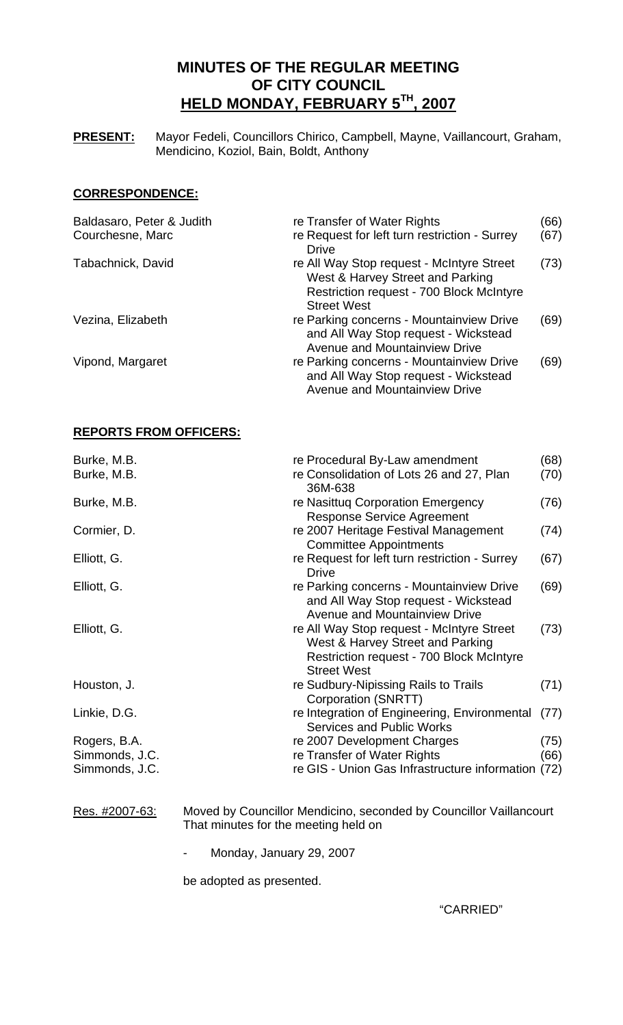# **MINUTES OF THE REGULAR MEETING OF CITY COUNCIL HELD MONDAY, FEBRUARY 5TH, 2007**

**PRESENT:** Mayor Fedeli, Councillors Chirico, Campbell, Mayne, Vaillancourt, Graham, Mendicino, Koziol, Bain, Boldt, Anthony

# **CORRESPONDENCE:**

| Baldasaro, Peter & Judith | re Transfer of Water Rights                                                                                                                            | (66) |
|---------------------------|--------------------------------------------------------------------------------------------------------------------------------------------------------|------|
| Courchesne, Marc          | re Request for left turn restriction - Surrey<br><b>Drive</b>                                                                                          | (67) |
| Tabachnick, David         | re All Way Stop request - McIntyre Street<br>West & Harvey Street and Parking<br><b>Restriction request - 700 Block McIntyre</b><br><b>Street West</b> | (73) |
| Vezina, Elizabeth         | re Parking concerns - Mountainview Drive<br>and All Way Stop request - Wickstead<br><b>Avenue and Mountainview Drive</b>                               | (69) |
| Vipond, Margaret          | re Parking concerns - Mountainview Drive<br>and All Way Stop request - Wickstead<br><b>Avenue and Mountainview Drive</b>                               | (69) |

# **REPORTS FROM OFFICERS:**

| Burke, M.B.    | re Procedural By-Law amendment                                                                                                                         | (68) |
|----------------|--------------------------------------------------------------------------------------------------------------------------------------------------------|------|
| Burke, M.B.    | re Consolidation of Lots 26 and 27, Plan<br>36M-638                                                                                                    | (70) |
| Burke, M.B.    | re Nasittug Corporation Emergency<br><b>Response Service Agreement</b>                                                                                 | (76) |
| Cormier, D.    | re 2007 Heritage Festival Management<br><b>Committee Appointments</b>                                                                                  | (74) |
| Elliott, G.    | re Request for left turn restriction - Surrey<br><b>Drive</b>                                                                                          | (67) |
| Elliott, G.    | re Parking concerns - Mountainview Drive<br>and All Way Stop request - Wickstead<br><b>Avenue and Mountainview Drive</b>                               | (69) |
| Elliott, G.    | re All Way Stop request - McIntyre Street<br>West & Harvey Street and Parking<br><b>Restriction request - 700 Block McIntyre</b><br><b>Street West</b> | (73) |
| Houston, J.    | re Sudbury-Nipissing Rails to Trails<br>Corporation (SNRTT)                                                                                            | (71) |
| Linkie, D.G.   | re Integration of Engineering, Environmental<br><b>Services and Public Works</b>                                                                       | (77) |
| Rogers, B.A.   | re 2007 Development Charges                                                                                                                            | (75) |
| Simmonds, J.C. | re Transfer of Water Rights                                                                                                                            | (66) |
| Simmonds, J.C. | re GIS - Union Gas Infrastructure information (72)                                                                                                     |      |

# Res. #2007-63: Moved by Councillor Mendicino, seconded by Councillor Vaillancourt That minutes for the meeting held on

- Monday, January 29, 2007

be adopted as presented.

"CARRIED"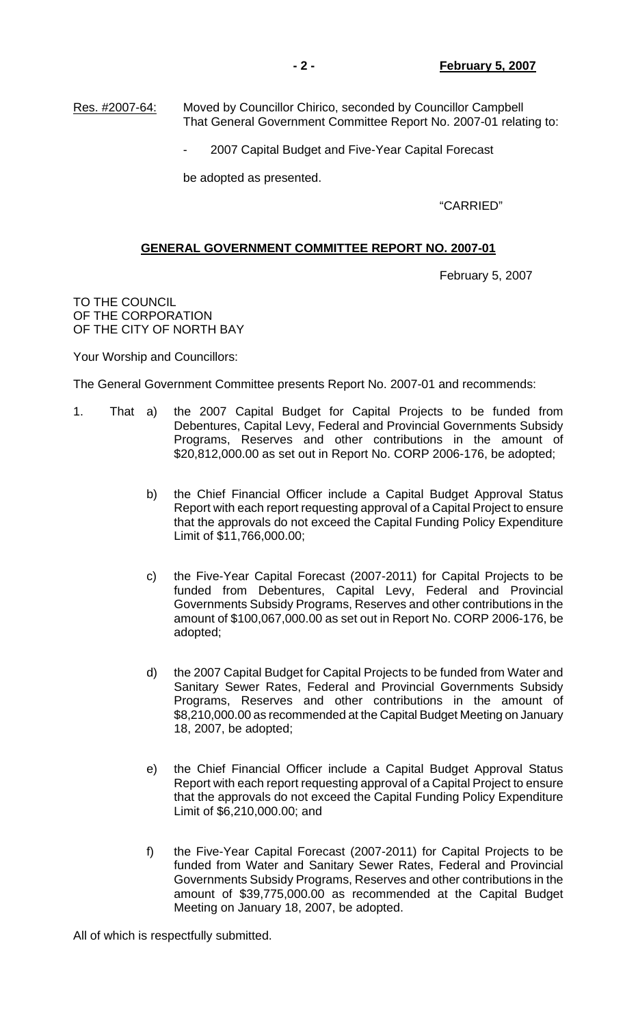2007 Capital Budget and Five-Year Capital Forecast

be adopted as presented.

"CARRIED"

# **GENERAL GOVERNMENT COMMITTEE REPORT NO. 2007-01**

February 5, 2007

TO THE COUNCIL OF THE CORPORATION OF THE CITY OF NORTH BAY

Your Worship and Councillors:

The General Government Committee presents Report No. 2007-01 and recommends:

- 1. That a) the 2007 Capital Budget for Capital Projects to be funded from Debentures, Capital Levy, Federal and Provincial Governments Subsidy Programs, Reserves and other contributions in the amount of \$20,812,000.00 as set out in Report No. CORP 2006-176, be adopted;
	- b) the Chief Financial Officer include a Capital Budget Approval Status Report with each report requesting approval of a Capital Project to ensure that the approvals do not exceed the Capital Funding Policy Expenditure Limit of \$11,766,000.00;
	- c) the Five-Year Capital Forecast (2007-2011) for Capital Projects to be funded from Debentures, Capital Levy, Federal and Provincial Governments Subsidy Programs, Reserves and other contributions in the amount of \$100,067,000.00 as set out in Report No. CORP 2006-176, be adopted;
	- d) the 2007 Capital Budget for Capital Projects to be funded from Water and Sanitary Sewer Rates, Federal and Provincial Governments Subsidy Programs, Reserves and other contributions in the amount of \$8,210,000.00 as recommended at the Capital Budget Meeting on January 18, 2007, be adopted;
	- e) the Chief Financial Officer include a Capital Budget Approval Status Report with each report requesting approval of a Capital Project to ensure that the approvals do not exceed the Capital Funding Policy Expenditure Limit of \$6,210,000.00; and
	- f) the Five-Year Capital Forecast (2007-2011) for Capital Projects to be funded from Water and Sanitary Sewer Rates, Federal and Provincial Governments Subsidy Programs, Reserves and other contributions in the amount of \$39,775,000.00 as recommended at the Capital Budget Meeting on January 18, 2007, be adopted.

All of which is respectfully submitted.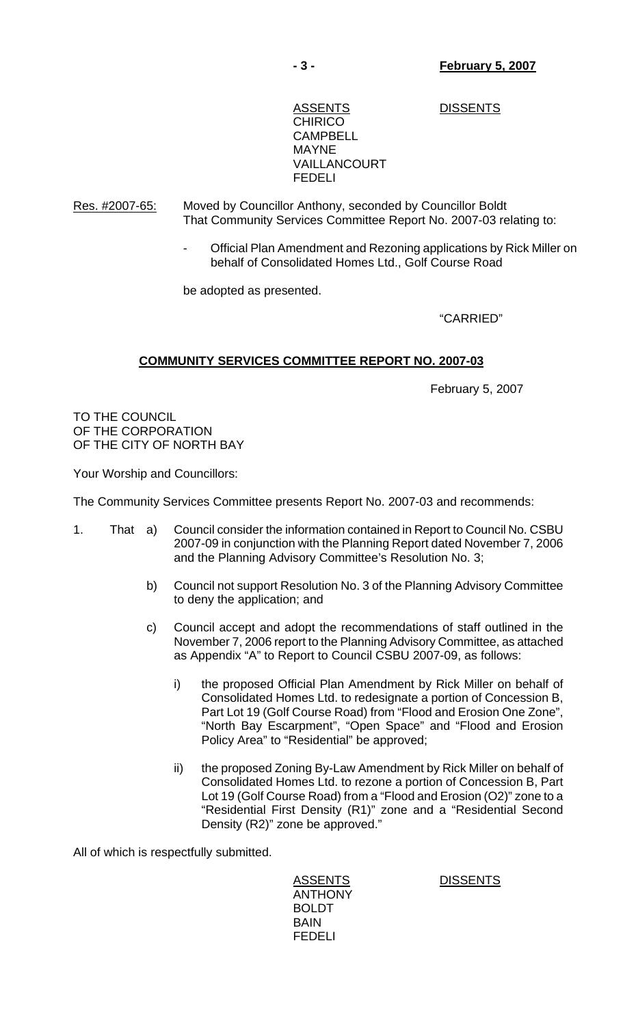# ASSENTS DISSENTS **CHIRICO**  CAMPBELL MAYNE VAILLANCOURT FEDELI

Res. #2007-65: Moved by Councillor Anthony, seconded by Councillor Boldt That Community Services Committee Report No. 2007-03 relating to:

> - Official Plan Amendment and Rezoning applications by Rick Miller on behalf of Consolidated Homes Ltd., Golf Course Road

be adopted as presented.

# "CARRIED"

# **COMMUNITY SERVICES COMMITTEE REPORT NO. 2007-03**

February 5, 2007

TO THE COUNCIL OF THE CORPORATION OF THE CITY OF NORTH BAY

Your Worship and Councillors:

The Community Services Committee presents Report No. 2007-03 and recommends:

- 1. That a) Council consider the information contained in Report to Council No. CSBU 2007-09 in conjunction with the Planning Report dated November 7, 2006 and the Planning Advisory Committee's Resolution No. 3;
	- b) Council not support Resolution No. 3 of the Planning Advisory Committee to deny the application; and
	- c) Council accept and adopt the recommendations of staff outlined in the November 7, 2006 report to the Planning Advisory Committee, as attached as Appendix "A" to Report to Council CSBU 2007-09, as follows:
		- i) the proposed Official Plan Amendment by Rick Miller on behalf of Consolidated Homes Ltd. to redesignate a portion of Concession B, Part Lot 19 (Golf Course Road) from "Flood and Erosion One Zone", "North Bay Escarpment", "Open Space" and "Flood and Erosion Policy Area" to "Residential" be approved;
		- ii) the proposed Zoning By-Law Amendment by Rick Miller on behalf of Consolidated Homes Ltd. to rezone a portion of Concession B, Part Lot 19 (Golf Course Road) from a "Flood and Erosion (O2)" zone to a "Residential First Density (R1)" zone and a "Residential Second Density (R2)" zone be approved."

All of which is respectfully submitted.

 ANTHONY BOLDT BAIN FEDELI

ASSENTS DISSENTS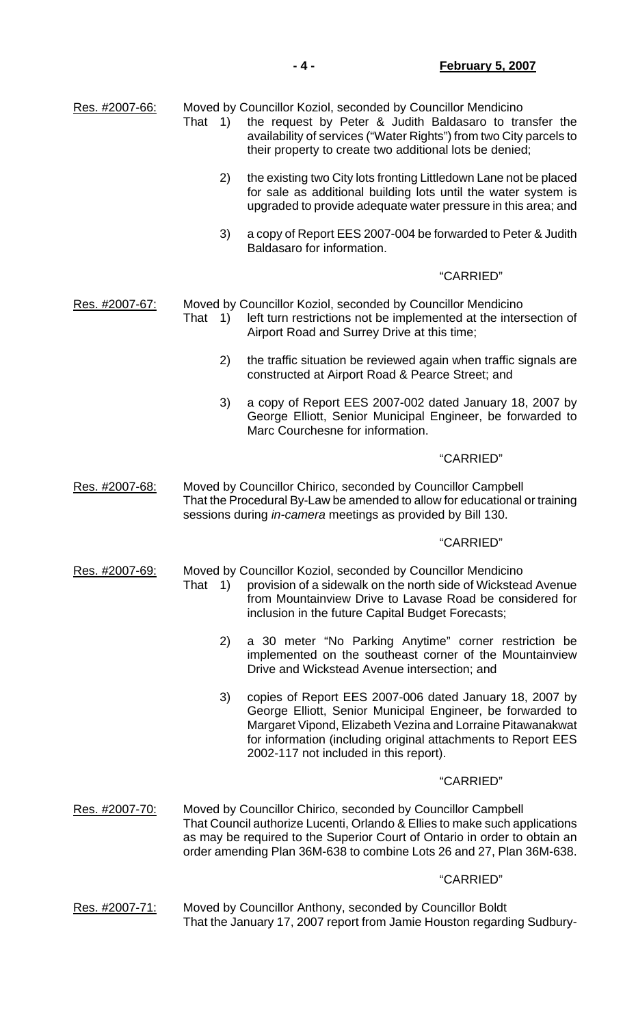| Res. #2007-66: | That 1)                                                                                                                                                                                                   | Moved by Councillor Koziol, seconded by Councillor Mendicino<br>the request by Peter & Judith Baldasaro to transfer the<br>availability of services ("Water Rights") from two City parcels to<br>their property to create two additional lots be denied;                                        |  |
|----------------|-----------------------------------------------------------------------------------------------------------------------------------------------------------------------------------------------------------|-------------------------------------------------------------------------------------------------------------------------------------------------------------------------------------------------------------------------------------------------------------------------------------------------|--|
|                | 2)                                                                                                                                                                                                        | the existing two City lots fronting Littledown Lane not be placed<br>for sale as additional building lots until the water system is<br>upgraded to provide adequate water pressure in this area; and                                                                                            |  |
|                | 3)                                                                                                                                                                                                        | a copy of Report EES 2007-004 be forwarded to Peter & Judith<br>Baldasaro for information.                                                                                                                                                                                                      |  |
|                |                                                                                                                                                                                                           | "CARRIED"                                                                                                                                                                                                                                                                                       |  |
| Res. #2007-67: | That 1)                                                                                                                                                                                                   | Moved by Councillor Koziol, seconded by Councillor Mendicino<br>left turn restrictions not be implemented at the intersection of<br>Airport Road and Surrey Drive at this time;                                                                                                                 |  |
|                | 2)                                                                                                                                                                                                        | the traffic situation be reviewed again when traffic signals are<br>constructed at Airport Road & Pearce Street; and                                                                                                                                                                            |  |
|                | 3)                                                                                                                                                                                                        | a copy of Report EES 2007-002 dated January 18, 2007 by<br>George Elliott, Senior Municipal Engineer, be forwarded to<br>Marc Courchesne for information.                                                                                                                                       |  |
|                |                                                                                                                                                                                                           | "CARRIED"                                                                                                                                                                                                                                                                                       |  |
| Res. #2007-68: | Moved by Councillor Chirico, seconded by Councillor Campbell<br>That the Procedural By-Law be amended to allow for educational or training<br>sessions during in-camera meetings as provided by Bill 130. |                                                                                                                                                                                                                                                                                                 |  |
|                |                                                                                                                                                                                                           | "CARRIED"                                                                                                                                                                                                                                                                                       |  |
| Res. #2007-69: | That 1)                                                                                                                                                                                                   | Moved by Councillor Koziol, seconded by Councillor Mendicino<br>provision of a sidewalk on the north side of Wickstead Avenue<br>from Mountainview Drive to Lavase Road be considered for<br>inclusion in the future Capital Budget Forecasts;                                                  |  |
|                | 2)                                                                                                                                                                                                        | a 30 meter "No Parking Anytime" corner restriction be<br>implemented on the southeast corner of the Mountainview<br>Drive and Wickstead Avenue intersection; and                                                                                                                                |  |
|                | 3)                                                                                                                                                                                                        | copies of Report EES 2007-006 dated January 18, 2007 by<br>George Elliott, Senior Municipal Engineer, be forwarded to<br>Margaret Vipond, Elizabeth Vezina and Lorraine Pitawanakwat<br>for information (including original attachments to Report EES<br>2002-117 not included in this report). |  |
|                |                                                                                                                                                                                                           | "CARRIED"                                                                                                                                                                                                                                                                                       |  |
| Res. #2007-70: |                                                                                                                                                                                                           | Moved by Councillor Chirico, seconded by Councillor Campbell<br>That Council authorize Lucenti, Orlando & Ellies to make such applications<br>as may be required to the Superior Court of Ontario in order to obtain an<br>order amending Plan 36M-638 to combine Lots 26 and 27, Plan 36M-638. |  |
|                |                                                                                                                                                                                                           | "CARRIED"                                                                                                                                                                                                                                                                                       |  |
| Res. #2007-71: |                                                                                                                                                                                                           | Moved by Councillor Anthony, seconded by Councillor Boldt<br>That the January 17, 2007 report from Jamie Houston regarding Sudbury-                                                                                                                                                             |  |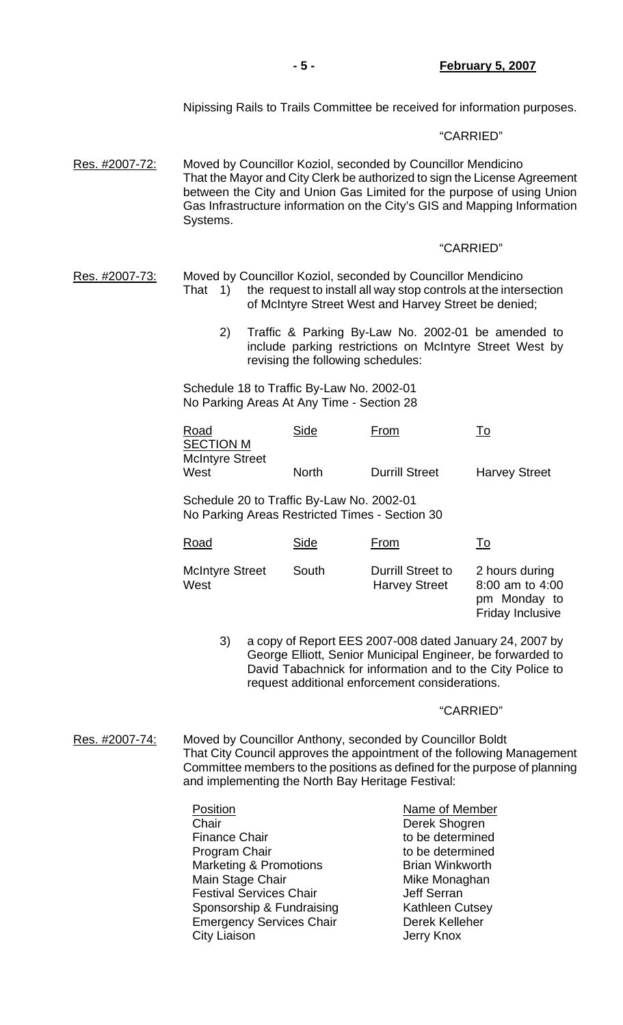#### "CARRIED"

Res. #2007-72: Moved by Councillor Koziol, seconded by Councillor Mendicino That the Mayor and City Clerk be authorized to sign the License Agreement between the City and Union Gas Limited for the purpose of using Union Gas Infrastructure information on the City's GIS and Mapping Information Systems.

### "CARRIED"

- Res. #2007-73: Moved by Councillor Koziol, seconded by Councillor Mendicino That 1) the request to install all way stop controls at the intersection of McIntyre Street West and Harvey Street be denied;
	- 2) Traffic & Parking By-Law No. 2002-01 be amended to include parking restrictions on McIntyre Street West by revising the following schedules:

 Schedule 18 to Traffic By-Law No. 2002-01 No Parking Areas At Any Time - Section 28

| Road<br><b>SECTION M</b> | Side         | <u>From</u>           | To                   |
|--------------------------|--------------|-----------------------|----------------------|
| <b>McIntyre Street</b>   |              |                       |                      |
| West                     | <b>North</b> | <b>Durrill Street</b> | <b>Harvey Street</b> |

 Schedule 20 to Traffic By-Law No. 2002-01 No Parking Areas Restricted Times - Section 30

| Road                           | Side  | From                                      | <u>To</u>                                                                    |
|--------------------------------|-------|-------------------------------------------|------------------------------------------------------------------------------|
| <b>McIntyre Street</b><br>West | South | Durrill Street to<br><b>Harvey Street</b> | 2 hours during<br>8:00 am to 4:00<br>pm Monday to<br><b>Friday Inclusive</b> |

 3) a copy of Report EES 2007-008 dated January 24, 2007 by George Elliott, Senior Municipal Engineer, be forwarded to David Tabachnick for information and to the City Police to request additional enforcement considerations.

#### "CARRIED"

Res. #2007-74: Moved by Councillor Anthony, seconded by Councillor Boldt That City Council approves the appointment of the following Management Committee members to the positions as defined for the purpose of planning and implementing the North Bay Heritage Festival:

| Position                          | Name of Member         |
|-----------------------------------|------------------------|
| Chair                             | Derek Shogren          |
| <b>Finance Chair</b>              | to be determined       |
| Program Chair                     | to be determined       |
| <b>Marketing &amp; Promotions</b> | <b>Brian Winkworth</b> |
| Main Stage Chair                  | Mike Monaghan          |
| <b>Festival Services Chair</b>    | <b>Jeff Serran</b>     |
| Sponsorship & Fundraising         | <b>Kathleen Cutsey</b> |
| <b>Emergency Services Chair</b>   | Derek Kelleher         |
| <b>City Liaison</b>               | Jerry Knox             |
|                                   |                        |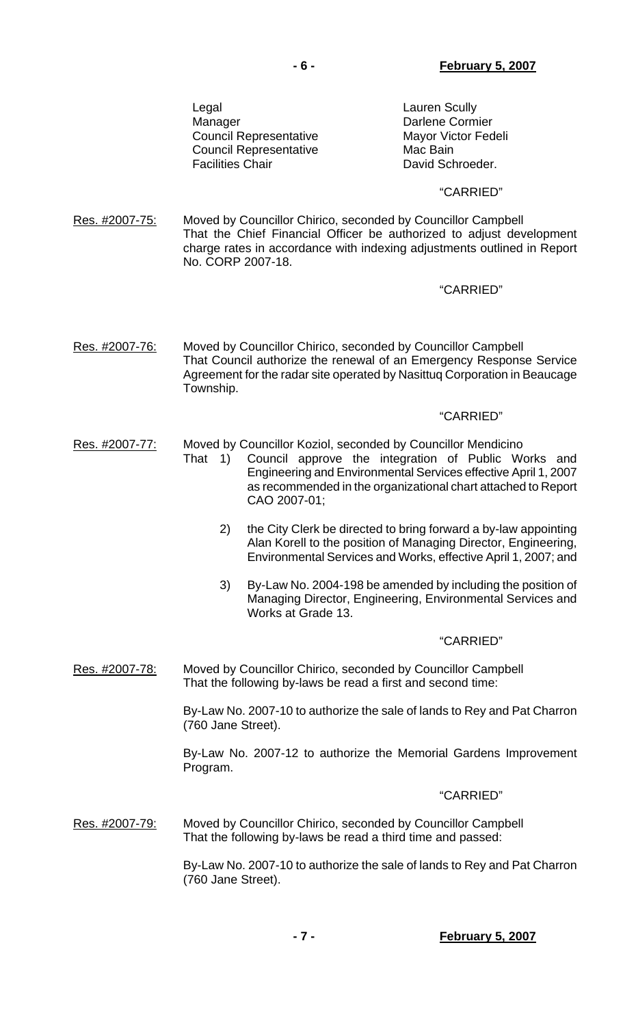Legal Legal **Lauren** Scully Manager **Darlene Cormier** Council Representative Mayor Victor Fedeli Council Representative Mac Bain Facilities Chair **David Schroeder.** 

# "CARRIED"

Res. #2007-75: Moved by Councillor Chirico, seconded by Councillor Campbell That the Chief Financial Officer be authorized to adjust development charge rates in accordance with indexing adjustments outlined in Report No. CORP 2007-18.

# "CARRIED"

Res. #2007-76: Moved by Councillor Chirico, seconded by Councillor Campbell That Council authorize the renewal of an Emergency Response Service Agreement for the radar site operated by Nasittuq Corporation in Beaucage Township.

### "CARRIED"

- Res. #2007-77: Moved by Councillor Koziol, seconded by Councillor Mendicino
	- That 1) Council approve the integration of Public Works and Engineering and Environmental Services effective April 1, 2007 as recommended in the organizational chart attached to Report CAO 2007-01;
		- 2) the City Clerk be directed to bring forward a by-law appointing Alan Korell to the position of Managing Director, Engineering, Environmental Services and Works, effective April 1, 2007; and
		- 3) By-Law No. 2004-198 be amended by including the position of Managing Director, Engineering, Environmental Services and Works at Grade 13.

#### "CARRIED"

Res. #2007-78: Moved by Councillor Chirico, seconded by Councillor Campbell That the following by-laws be read a first and second time:

> By-Law No. 2007-10 to authorize the sale of lands to Rey and Pat Charron (760 Jane Street).

> By-Law No. 2007-12 to authorize the Memorial Gardens Improvement Program.

# "CARRIED"

Res. #2007-79: Moved by Councillor Chirico, seconded by Councillor Campbell That the following by-laws be read a third time and passed:

> By-Law No. 2007-10 to authorize the sale of lands to Rey and Pat Charron (760 Jane Street).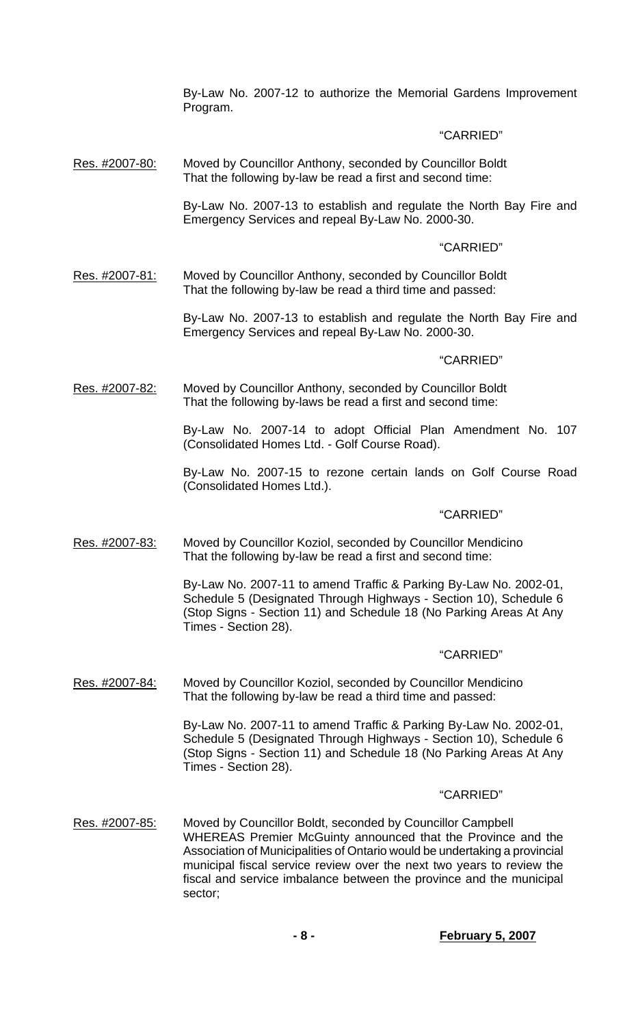By-Law No. 2007-12 to authorize the Memorial Gardens Improvement Program.

# "CARRIED"

Res. #2007-80: Moved by Councillor Anthony, seconded by Councillor Boldt That the following by-law be read a first and second time:

> By-Law No. 2007-13 to establish and regulate the North Bay Fire and Emergency Services and repeal By-Law No. 2000-30.

# "CARRIED"

Res. #2007-81: Moved by Councillor Anthony, seconded by Councillor Boldt That the following by-law be read a third time and passed:

> By-Law No. 2007-13 to establish and regulate the North Bay Fire and Emergency Services and repeal By-Law No. 2000-30.

# "CARRIED"

Res. #2007-82: Moved by Councillor Anthony, seconded by Councillor Boldt That the following by-laws be read a first and second time:

> By-Law No. 2007-14 to adopt Official Plan Amendment No. 107 (Consolidated Homes Ltd. - Golf Course Road).

> By-Law No. 2007-15 to rezone certain lands on Golf Course Road (Consolidated Homes Ltd.).

# "CARRIED"

Res. #2007-83: Moved by Councillor Koziol, seconded by Councillor Mendicino That the following by-law be read a first and second time:

> By-Law No. 2007-11 to amend Traffic & Parking By-Law No. 2002-01, Schedule 5 (Designated Through Highways - Section 10), Schedule 6 (Stop Signs - Section 11) and Schedule 18 (No Parking Areas At Any Times - Section 28).

# "CARRIED"

Res. #2007-84: Moved by Councillor Koziol, seconded by Councillor Mendicino That the following by-law be read a third time and passed:

> By-Law No. 2007-11 to amend Traffic & Parking By-Law No. 2002-01, Schedule 5 (Designated Through Highways - Section 10), Schedule 6 (Stop Signs - Section 11) and Schedule 18 (No Parking Areas At Any Times - Section 28).

# "CARRIED"

Res. #2007-85: Moved by Councillor Boldt, seconded by Councillor Campbell WHEREAS Premier McGuinty announced that the Province and the Association of Municipalities of Ontario would be undertaking a provincial municipal fiscal service review over the next two years to review the fiscal and service imbalance between the province and the municipal sector;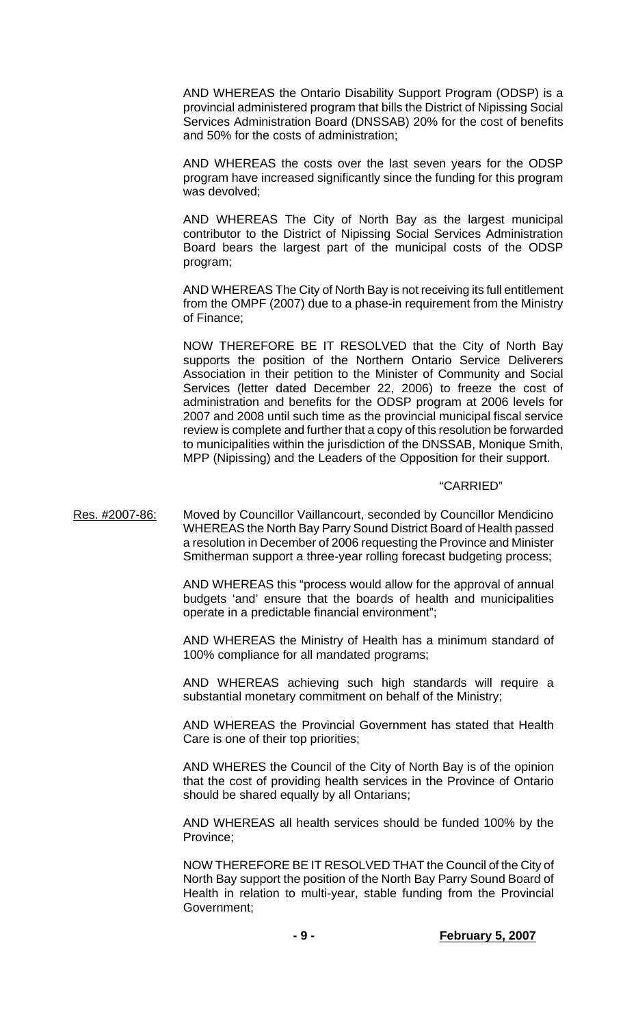AND WHEREAS the Ontario Disability Support Program (ODSP) is a provincial administered program that bills the District of Nipissing Social Services Administration Board (DNSSAB) 20% for the cost of benefits and 50% for the costs of administration;

 AND WHEREAS the costs over the last seven years for the ODSP program have increased significantly since the funding for this program was devolved;

 AND WHEREAS The City of North Bay as the largest municipal contributor to the District of Nipissing Social Services Administration Board bears the largest part of the municipal costs of the ODSP program;

 AND WHEREAS The City of North Bay is not receiving its full entitlement from the OMPF (2007) due to a phase-in requirement from the Ministry of Finance;

 NOW THEREFORE BE IT RESOLVED that the City of North Bay supports the position of the Northern Ontario Service Deliverers Association in their petition to the Minister of Community and Social Services (letter dated December 22, 2006) to freeze the cost of administration and benefits for the ODSP program at 2006 levels for 2007 and 2008 until such time as the provincial municipal fiscal service review is complete and further that a copy of this resolution be forwarded to municipalities within the jurisdiction of the DNSSAB, Monique Smith, MPP (Nipissing) and the Leaders of the Opposition for their support.

### "CARRIED"

Res. #2007-86: Moved by Councillor Vaillancourt, seconded by Councillor Mendicino WHEREAS the North Bay Parry Sound District Board of Health passed a resolution in December of 2006 requesting the Province and Minister Smitherman support a three-year rolling forecast budgeting process;

> AND WHEREAS this "process would allow for the approval of annual budgets 'and' ensure that the boards of health and municipalities operate in a predictable financial environment";

> AND WHEREAS the Ministry of Health has a minimum standard of 100% compliance for all mandated programs;

> AND WHEREAS achieving such high standards will require a substantial monetary commitment on behalf of the Ministry;

> AND WHEREAS the Provincial Government has stated that Health Care is one of their top priorities;

> AND WHERES the Council of the City of North Bay is of the opinion that the cost of providing health services in the Province of Ontario should be shared equally by all Ontarians;

> AND WHEREAS all health services should be funded 100% by the Province;

> NOW THEREFORE BE IT RESOLVED THAT the Council of the City of North Bay support the position of the North Bay Parry Sound Board of Health in relation to multi-year, stable funding from the Provincial Government;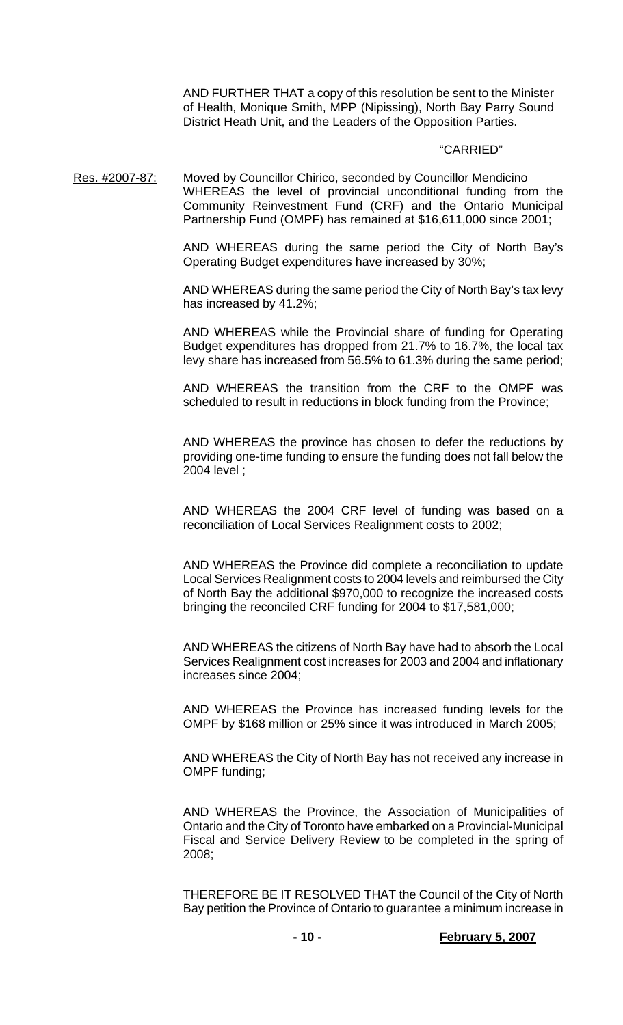AND FURTHER THAT a copy of this resolution be sent to the Minister of Health, Monique Smith, MPP (Nipissing), North Bay Parry Sound District Heath Unit, and the Leaders of the Opposition Parties.

#### "CARRIED"

Res. #2007-87: Moved by Councillor Chirico, seconded by Councillor Mendicino WHEREAS the level of provincial unconditional funding from the Community Reinvestment Fund (CRF) and the Ontario Municipal Partnership Fund (OMPF) has remained at \$16,611,000 since 2001;

> AND WHEREAS during the same period the City of North Bay's Operating Budget expenditures have increased by 30%;

> AND WHEREAS during the same period the City of North Bay's tax levy has increased by 41.2%;

> AND WHEREAS while the Provincial share of funding for Operating Budget expenditures has dropped from 21.7% to 16.7%, the local tax levy share has increased from 56.5% to 61.3% during the same period;

> AND WHEREAS the transition from the CRF to the OMPF was scheduled to result in reductions in block funding from the Province;

> AND WHEREAS the province has chosen to defer the reductions by providing one-time funding to ensure the funding does not fall below the 2004 level ;

> AND WHEREAS the 2004 CRF level of funding was based on a reconciliation of Local Services Realignment costs to 2002;

> AND WHEREAS the Province did complete a reconciliation to update Local Services Realignment costs to 2004 levels and reimbursed the City of North Bay the additional \$970,000 to recognize the increased costs bringing the reconciled CRF funding for 2004 to \$17,581,000;

> AND WHEREAS the citizens of North Bay have had to absorb the Local Services Realignment cost increases for 2003 and 2004 and inflationary increases since 2004;

> AND WHEREAS the Province has increased funding levels for the OMPF by \$168 million or 25% since it was introduced in March 2005;

> AND WHEREAS the City of North Bay has not received any increase in OMPF funding;

> AND WHEREAS the Province, the Association of Municipalities of Ontario and the City of Toronto have embarked on a Provincial-Municipal Fiscal and Service Delivery Review to be completed in the spring of 2008;

> THEREFORE BE IT RESOLVED THAT the Council of the City of North Bay petition the Province of Ontario to guarantee a minimum increase in

**- 10 - February 5, 2007**